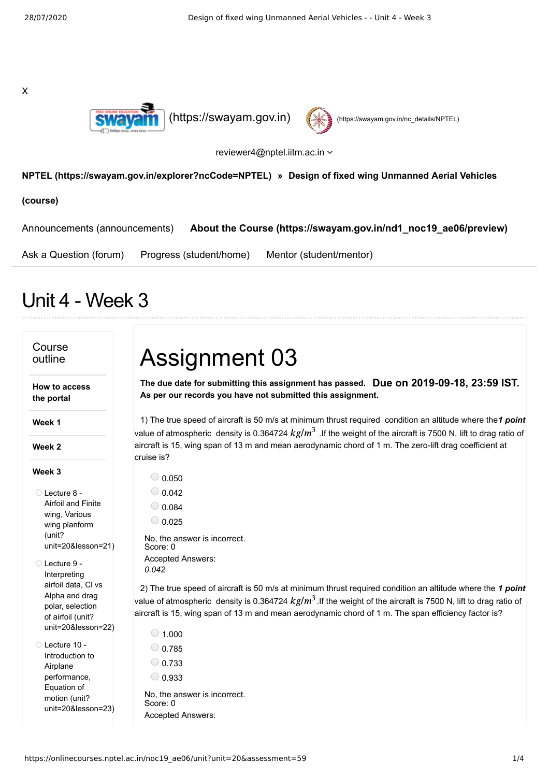X





reviewer4@nptel.iitm.ac.in  $\sim$ 

## **[NPTEL \(https://swayam.gov.in/explorer?ncCode=NPTEL\)](https://swayam.gov.in/explorer?ncCode=NPTEL) » Design of fixed wing Unmanned Aerial Vehicles**

**(course)**

[Announcements \(announcements\)](https://onlinecourses.nptel.ac.in/noc19_ae06/announcements) **[About the Course \(https://swayam.gov.in/nd1\\_noc19\\_ae06/preview\)](https://swayam.gov.in/nd1_noc19_ae06/preview)**

[Ask a Question \(forum\)](https://onlinecourses.nptel.ac.in/noc19_ae06/forum) [Progress \(student/home\)](https://onlinecourses.nptel.ac.in/noc19_ae06/student/home) [Mentor \(student/mentor\)](https://onlinecourses.nptel.ac.in/noc19_ae06/student/mentor)

## Unit 4 - Week 3

## Course outline **How to access the portal Week 1 Week 2 Week 3** Lecture 8 - Airfoil and Finite wing, Various wing planform (unit? [unit=20&lesson=21\)](https://onlinecourses.nptel.ac.in/noc19_ae06/unit?unit=20&lesson=21) Lecture 9 - Interpreting airfoil data, Cl vs Alpha and drag polar, selection of airfoil (unit? [unit=20&lesson=22\)](https://onlinecourses.nptel.ac.in/noc19_ae06/unit?unit=20&lesson=22) Lecture 10 - Introduction to Airplane performance, Equation of motion (unit? [unit=20&lesson=23\)](https://onlinecourses.nptel.ac.in/noc19_ae06/unit?unit=20&lesson=23) **Due on 2019-09-18, 23:59 IST. The due date for submitting this assignment has passed.** 1) The true speed of aircraft is 50 m/s at minimum thrust required condition an altitude where the 1 point 2) The true speed of aircraft is 50 m/s at minimum thrust required condition an altitude where the 1 point Assignment 03 **As per our records you have not submitted this assignment.** value of atmospheric density is 0.364724  $kg/m^3$  .If the weight of the aircraft is 7500 N, lift to drag ratio of aircraft is 15, wing span of 13 m and mean aerodynamic chord of 1 m. The zero-lift drag coefficient at cruise is?  $\bigcirc$  0.050  $_0.042$  $\bigcirc$  0.084  $\bigcirc$  0.025 No, the answer is incorrect. Score: 0 Accepted Answers: *0.042* value of atmospheric density is 0.364724  $kg/m^3$  .If the weight of the aircraft is 7500 N, lift to drag ratio of aircraft is 15, wing span of 13 m and mean aerodynamic chord of 1 m. The span efficiency factor is?  $\bigcirc$  1.000  $0.785$  $\bigcirc$  0.733  $\bigcirc$  0.933 No, the answer is incorrect. Score: 0 Accepted Answers: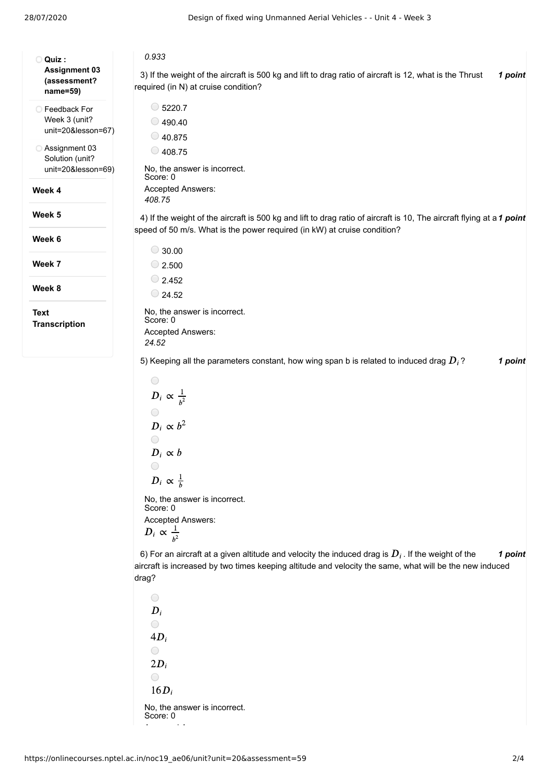| O Quiz:                                               | 0.933                                                                                                                                                                                             |
|-------------------------------------------------------|---------------------------------------------------------------------------------------------------------------------------------------------------------------------------------------------------|
| <b>Assignment 03</b><br>(assessment?<br>name=59)      | 3) If the weight of the aircraft is 500 kg and lift to drag ratio of aircraft is 12, what is the Thrust<br>1 point<br>required (in N) at cruise condition?                                        |
| ◯ Feedback For<br>Week 3 (unit?<br>unit=20&lesson=67) | $\circ$ 5220.7                                                                                                                                                                                    |
|                                                       | $\bigcirc$ 490.40                                                                                                                                                                                 |
|                                                       | $\bigcirc$ 40.875                                                                                                                                                                                 |
| ◯ Assignment 03<br>Solution (unit?                    | $\bigcirc$ 408.75                                                                                                                                                                                 |
| unit=20&lesson=69)                                    | No, the answer is incorrect.<br>Score: 0                                                                                                                                                          |
| Week 4                                                | Accepted Answers:<br>408.75                                                                                                                                                                       |
| Week 5                                                | 4) If the weight of the aircraft is 500 kg and lift to drag ratio of aircraft is 10, The aircraft flying at a 1 point<br>speed of 50 m/s. What is the power required (in kW) at cruise condition? |
| Week 6                                                | $\bigcirc$ 30.00                                                                                                                                                                                  |
| Week 7                                                | $\bigcirc$ 2.500                                                                                                                                                                                  |
|                                                       | $\bigcirc$ 2.452                                                                                                                                                                                  |
| Week 8                                                | $\bigcirc$ 24.52                                                                                                                                                                                  |
| <b>Text</b>                                           | No, the answer is incorrect.                                                                                                                                                                      |
| <b>Transcription</b>                                  | Score: 0<br>Accepted Answers:                                                                                                                                                                     |
|                                                       | 24.52                                                                                                                                                                                             |
|                                                       | 5) Keeping all the parameters constant, how wing span b is related to induced drag $D_i$ ?<br>1 point                                                                                             |
|                                                       | $\bigcirc$                                                                                                                                                                                        |
|                                                       | $D_i \propto \frac{1}{h^2}$                                                                                                                                                                       |
|                                                       |                                                                                                                                                                                                   |
|                                                       | $D_i \propto b^2$                                                                                                                                                                                 |
|                                                       | $\bigcirc$                                                                                                                                                                                        |
|                                                       | $D_i \propto b$                                                                                                                                                                                   |
|                                                       | $D_i \propto \frac{1}{h}$                                                                                                                                                                         |
|                                                       | No, the answer is incorrect.<br>Score: 0                                                                                                                                                          |
|                                                       | Accepted Answers:                                                                                                                                                                                 |
|                                                       | $D_i \propto \frac{1}{h^2}$                                                                                                                                                                       |
|                                                       | 6) For an aircraft at a given altitude and velocity the induced drag is $D_i$ . If the weight of the<br>1 point                                                                                   |
|                                                       | aircraft is increased by two times keeping altitude and velocity the same, what will be the new induced<br>drag?                                                                                  |

 $\bigcirc$  $D_i$  $\bigcirc$  $4D_i$  $\bigcirc$  $2D_i$  $\bigcirc$  $16D_i$ No, the answer is incorrect. Score: 0 A d A